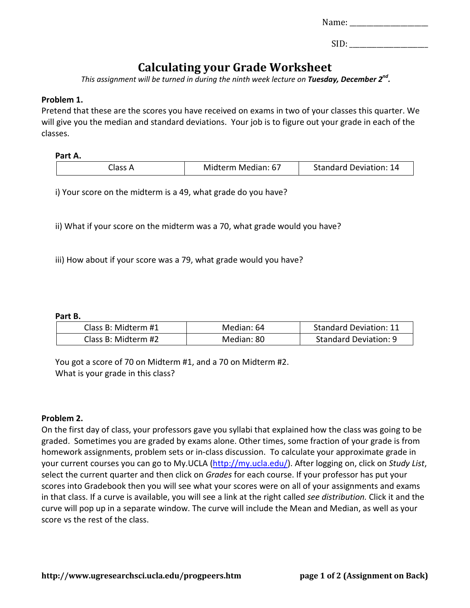| Name: |  |  |
|-------|--|--|
|       |  |  |

| SID: |
|------|
|------|

# **Calculating your Grade Worksheet**

*This assignment will be turned in during the ninth week lecture on Tuesday, December 2nd.*

### **Problem 1.**

Pretend that these are the scores you have received on exams in two of your classes this quarter. We will give you the median and standard deviations. Your job is to figure out your grade in each of the classes.

**Part A.** 

| Midterm Median: 67 | <b>Standard Deviation: 14</b> |
|--------------------|-------------------------------|
|                    |                               |

i) Your score on the midterm is a 49, what grade do you have?

ii) What if your score on the midterm was a 70, what grade would you have?

iii) How about if your score was a 79, what grade would you have?

#### **Part B.**

| Class B: Midterm #1 | Median: 64 | <b>Standard Deviation: 11</b> |
|---------------------|------------|-------------------------------|
| Class B: Midterm #2 | Median: 80 | Standard Deviation: 9         |

You got a score of 70 on Midterm #1, and a 70 on Midterm #2. What is your grade in this class?

#### **Problem 2.**

On the first day of class, your professors gave you syllabi that explained how the class was going to be graded. Sometimes you are graded by exams alone. Other times, some fraction of your grade is from homework assignments, problem sets or in-class discussion. To calculate your approximate grade in your current courses you can go to My.UCLA [\(http://my.ucla.edu/\)](http://my.ucla.edu/). After logging on, click on *Study List*, select the current quarter and then click on *Grades* for each course. If your professor has put your scores into Gradebook then you will see what your scores were on all of your assignments and exams in that class. If a curve is available, you will see a link at the right called *see distribution.* Click it and the curve will pop up in a separate window. The curve will include the Mean and Median, as well as your score vs the rest of the class.